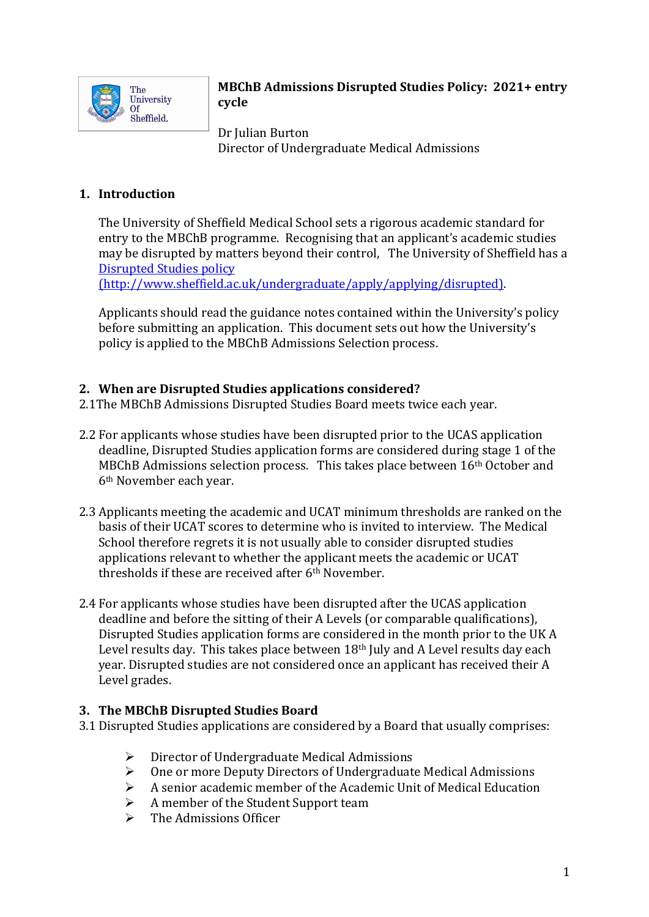

## **MBChB Admissions Disrupted Studies Policy: 2021+ entry cycle**

Dr Julian Burton Director of Undergraduate Medical Admissions

# **1. Introduction**

The University of Sheffield Medical School sets a rigorous academic standard for entry to the MBChB programme. Recognising that an applicant's academic studies may be disrupted by matters beyond their control, The University of Sheffield has a Disrupted Studies policy

(http://www.sheffield.ac.uk/undergraduate/apply/applying/disrupted). 

Applicants should read the guidance notes contained within the University's policy before submitting an application. This document sets out how the University's policy is applied to the MBChB Admissions Selection process.

## **2. When are Disrupted Studies applications considered?**

2.1The MBChB Admissions Disrupted Studies Board meets twice each year.

- 2.2 For applicants whose studies have been disrupted prior to the UCAS application deadline, Disrupted Studies application forms are considered during stage 1 of the MBChB Admissions selection process. This takes place between  $16<sup>th</sup>$  October and 6<sup>th</sup> November each year.
- 2.3 Applicants meeting the academic and UCAT minimum thresholds are ranked on the basis of their UCAT scores to determine who is invited to interview. The Medical School therefore regrets it is not usually able to consider disrupted studies applications relevant to whether the applicant meets the academic or UCAT thresholds if these are received after  $6<sup>th</sup>$  November.
- 2.4 For applicants whose studies have been disrupted after the UCAS application deadline and before the sitting of their A Levels (or comparable qualifications), Disrupted Studies application forms are considered in the month prior to the UK A Level results day. This takes place between  $18<sup>th</sup>$  July and A Level results day each year. Disrupted studies are not considered once an applicant has received their A Level grades.

### **3. The MBChB Disrupted Studies Board**

3.1 Disrupted Studies applications are considered by a Board that usually comprises:

- $\triangleright$  Director of Undergraduate Medical Admissions
- $\triangleright$  One or more Deputy Directors of Undergraduate Medical Admissions
- A senior academic member of the Academic Unit of Medical Education
- $\triangleright$  A member of the Student Support team
- The Admissions Officer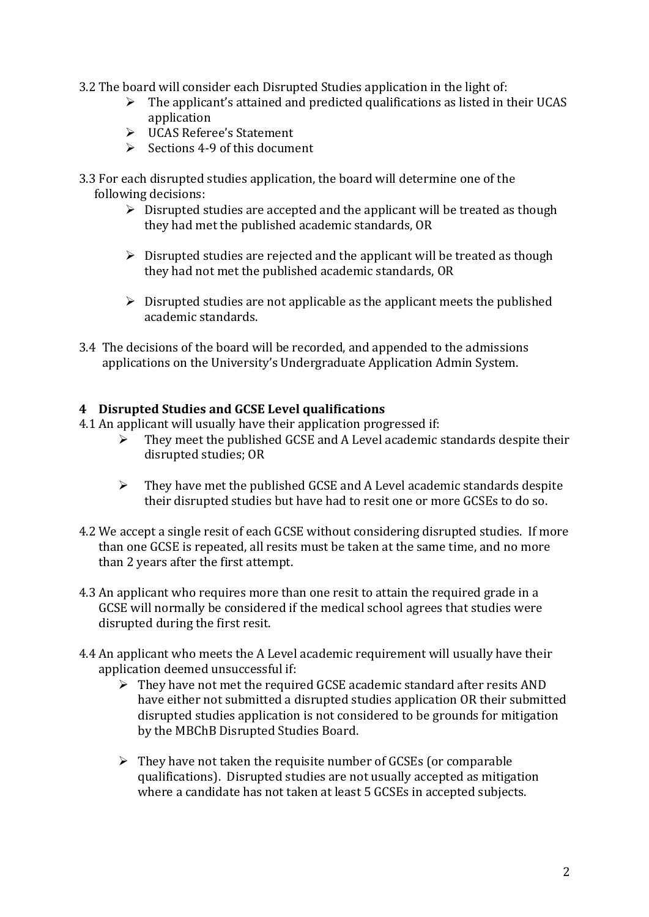- 3.2 The board will consider each Disrupted Studies application in the light of:
	- $\triangleright$  The applicant's attained and predicted qualifications as listed in their UCAS application
	- Ø UCAS Referee's Statement
	- $\triangleright$  Sections 4-9 of this document
- 3.3 For each disrupted studies application, the board will determine one of the following decisions:
	- $\triangleright$  Disrupted studies are accepted and the applicant will be treated as though they had met the published academic standards, OR
	- $\triangleright$  Disrupted studies are rejected and the applicant will be treated as though they had not met the published academic standards, OR
	- $\triangleright$  Disrupted studies are not applicable as the applicant meets the published academic standards.
- 3.4 The decisions of the board will be recorded, and appended to the admissions applications on the University's Undergraduate Application Admin System.

### **4 Disrupted Studies and GCSE Level qualifications**

- 4.1 An applicant will usually have their application progressed if:
	- $\triangleright$  They meet the published GCSE and A Level academic standards despite their disrupted studies; OR
	- $\triangleright$  They have met the published GCSE and A Level academic standards despite their disrupted studies but have had to resit one or more GCSEs to do so.
- 4.2 We accept a single resit of each GCSE without considering disrupted studies. If more than one GCSE is repeated, all resits must be taken at the same time, and no more than 2 years after the first attempt.
- 4.3 An applicant who requires more than one resit to attain the required grade in a GCSE will normally be considered if the medical school agrees that studies were disrupted during the first resit.
- 4.4 An applicant who meets the A Level academic requirement will usually have their application deemed unsuccessful if:
	- $\triangleright$  They have not met the required GCSE academic standard after resits AND have either not submitted a disrupted studies application OR their submitted disrupted studies application is not considered to be grounds for mitigation by the MBChB Disrupted Studies Board.
	- $\triangleright$  They have not taken the requisite number of GCSEs (or comparable qualifications). Disrupted studies are not usually accepted as mitigation where a candidate has not taken at least 5 GCSEs in accepted subjects.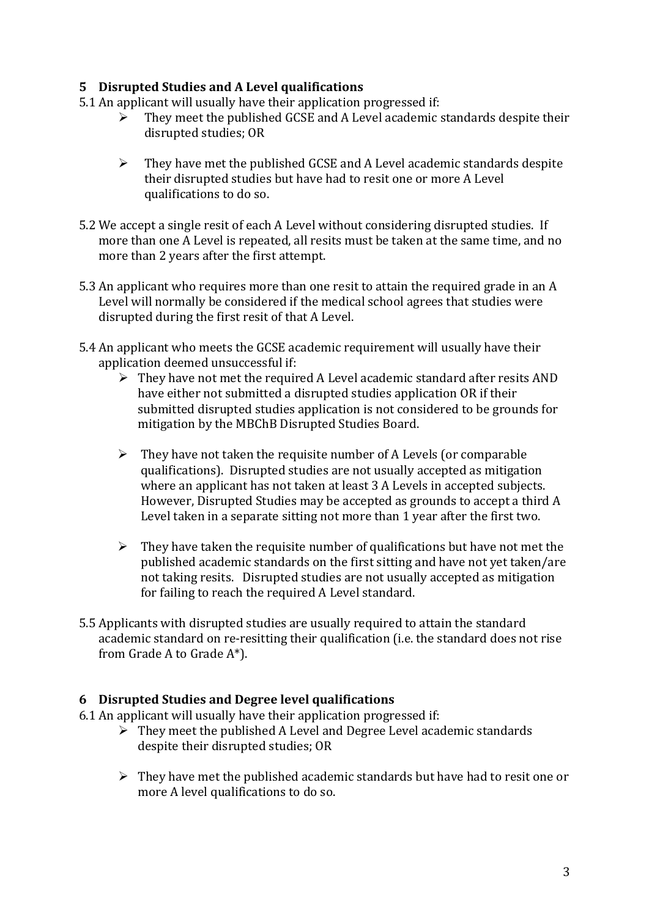# **5 Disrupted Studies and A Level qualifications**

- 5.1 An applicant will usually have their application progressed if:
	- $\triangleright$  They meet the published GCSE and A Level academic standards despite their disrupted studies; OR
	- $\triangleright$  They have met the published GCSE and A Level academic standards despite their disrupted studies but have had to resit one or more A Level qualifications to do so.
- 5.2 We accept a single resit of each A Level without considering disrupted studies. If more than one A Level is repeated, all resits must be taken at the same time, and no more than 2 years after the first attempt.
- 5.3 An applicant who requires more than one resit to attain the required grade in an A Level will normally be considered if the medical school agrees that studies were disrupted during the first resit of that A Level.
- 5.4 An applicant who meets the GCSE academic requirement will usually have their application deemed unsuccessful if:
	- $\triangleright$  They have not met the required A Level academic standard after resits AND have either not submitted a disrupted studies application OR if their submitted disrupted studies application is not considered to be grounds for mitigation by the MBChB Disrupted Studies Board.
	- $\triangleright$  They have not taken the requisite number of A Levels (or comparable qualifications). Disrupted studies are not usually accepted as mitigation where an applicant has not taken at least 3 A Levels in accepted subjects. However, Disrupted Studies may be accepted as grounds to accept a third A Level taken in a separate sitting not more than 1 year after the first two.
	- $\triangleright$  They have taken the requisite number of qualifications but have not met the published academic standards on the first sitting and have not yet taken/are not taking resits. Disrupted studies are not usually accepted as mitigation for failing to reach the required A Level standard.
- 5.5 Applicants with disrupted studies are usually required to attain the standard academic standard on re-resitting their qualification (i.e. the standard does not rise from Grade A to Grade  $A^*$ ).

## **6 Disrupted Studies and Degree level qualifications**

- $6.1$  An applicant will usually have their application progressed if:
	- $\triangleright$  They meet the published A Level and Degree Level academic standards despite their disrupted studies; OR
	- $\triangleright$  They have met the published academic standards but have had to resit one or more A level qualifications to do so.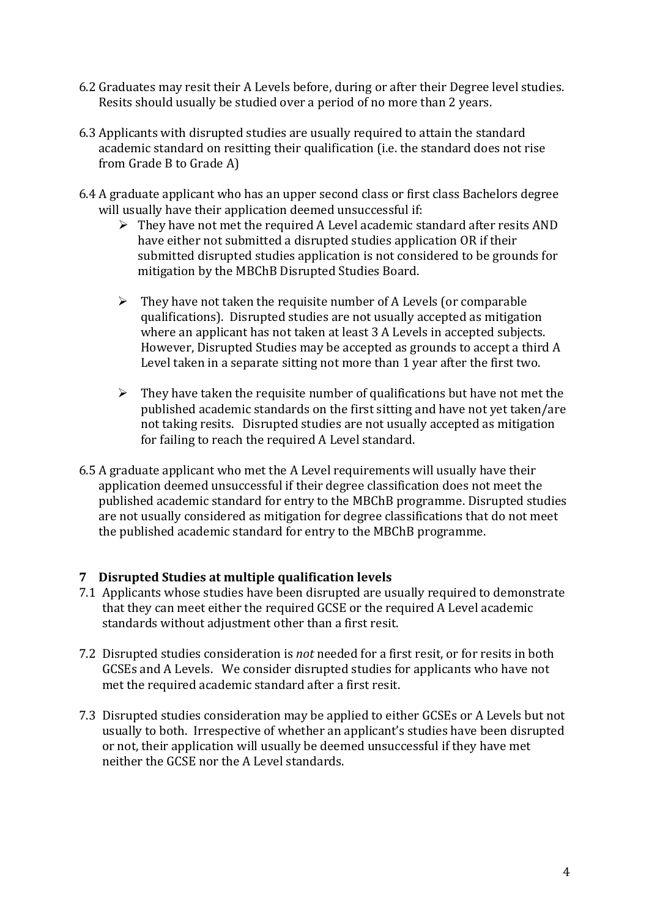- 6.2 Graduates may resit their A Levels before, during or after their Degree level studies. Resits should usually be studied over a period of no more than 2 years.
- 6.3 Applicants with disrupted studies are usually required to attain the standard academic standard on resitting their qualification (i.e. the standard does not rise from Grade B to Grade A)
- 6.4 A graduate applicant who has an upper second class or first class Bachelors degree will usually have their application deemed unsuccessful if:
	- $\triangleright$  They have not met the required A Level academic standard after resits AND have either not submitted a disrupted studies application OR if their submitted disrupted studies application is not considered to be grounds for mitigation by the MBChB Disrupted Studies Board.
	- $\triangleright$  They have not taken the requisite number of A Levels (or comparable qualifications). Disrupted studies are not usually accepted as mitigation where an applicant has not taken at least 3 A Levels in accepted subjects. However, Disrupted Studies may be accepted as grounds to accept a third A Level taken in a separate sitting not more than 1 year after the first two.
	- $\triangleright$  They have taken the requisite number of qualifications but have not met the published academic standards on the first sitting and have not yet taken/are not taking resits. Disrupted studies are not usually accepted as mitigation for failing to reach the required A Level standard.
- 6.5 A graduate applicant who met the A Level requirements will usually have their application deemed unsuccessful if their degree classification does not meet the published academic standard for entry to the MBChB programme. Disrupted studies are not usually considered as mitigation for degree classifications that do not meet the published academic standard for entry to the MBChB programme.

## **7 Disrupted Studies at multiple qualification levels**

- 7.1 Applicants whose studies have been disrupted are usually required to demonstrate that they can meet either the required GCSE or the required A Level academic standards without adjustment other than a first resit.
- 7.2 Disrupted studies consideration is *not* needed for a first resit, or for resits in both GCSEs and A Levels. We consider disrupted studies for applicants who have not met the required academic standard after a first resit.
- 7.3 Disrupted studies consideration may be applied to either GCSEs or A Levels but not usually to both. Irrespective of whether an applicant's studies have been disrupted or not, their application will usually be deemed unsuccessful if they have met neither the GCSE nor the A Level standards.